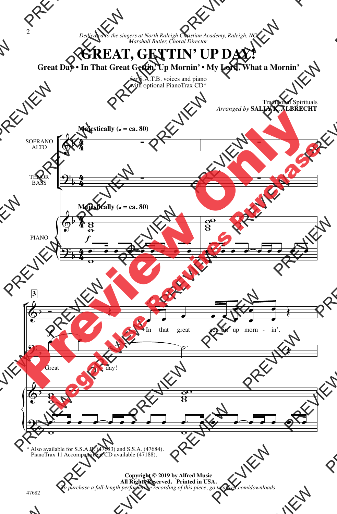## **GREAT, GETTIN' UP DAY!**

**Great Day • In That Great Gettin' Up Mornin' • My Lord, What a Mornin'**

for S.A.T.B. voices and piano with optional PianoTrax CD\*



\* Also available for S.S.A.B. (47683) and S.S.A. (47684). PianoTrax 11 Accompaniment CD available (47188).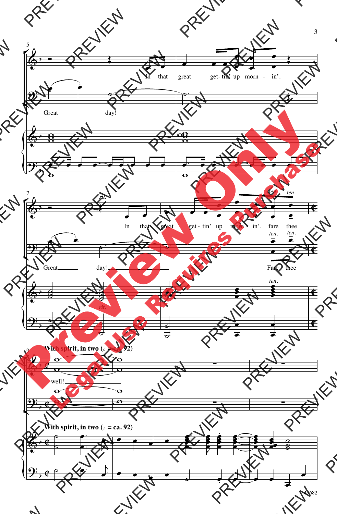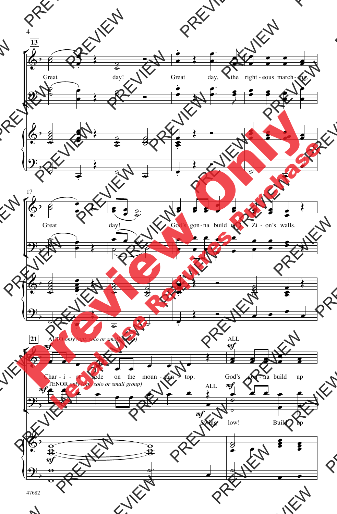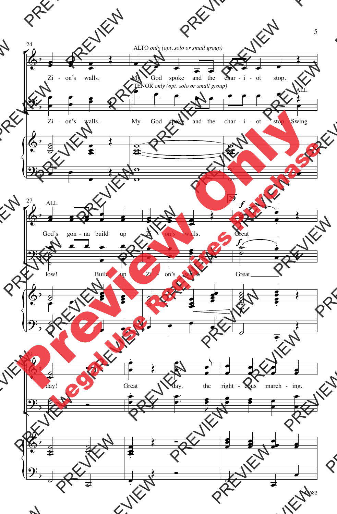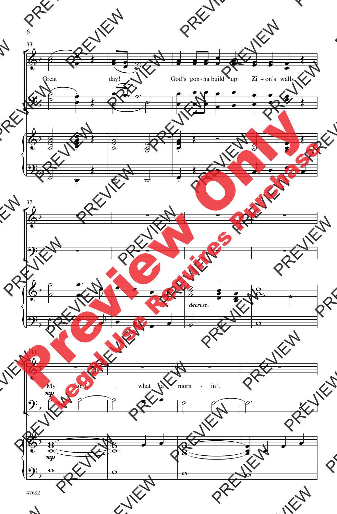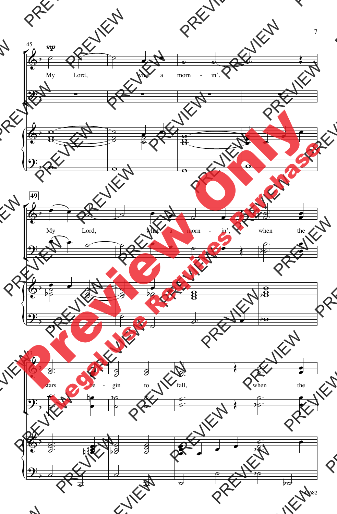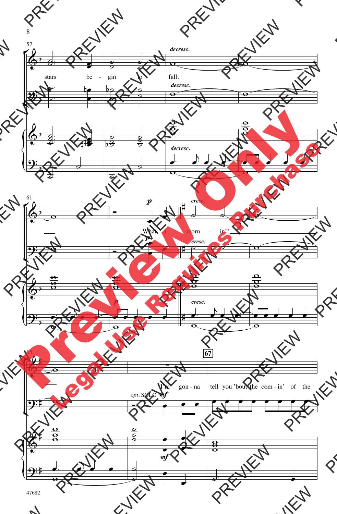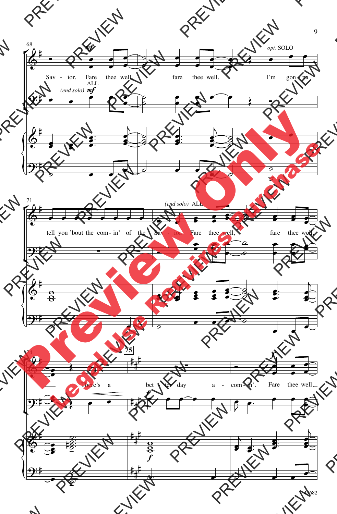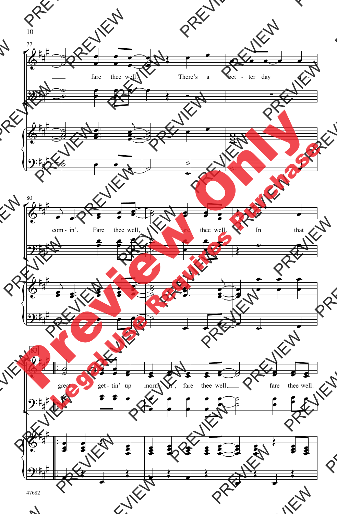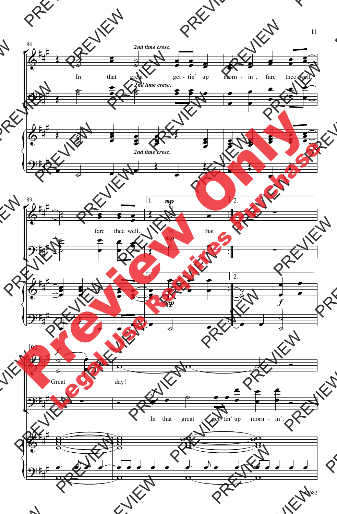